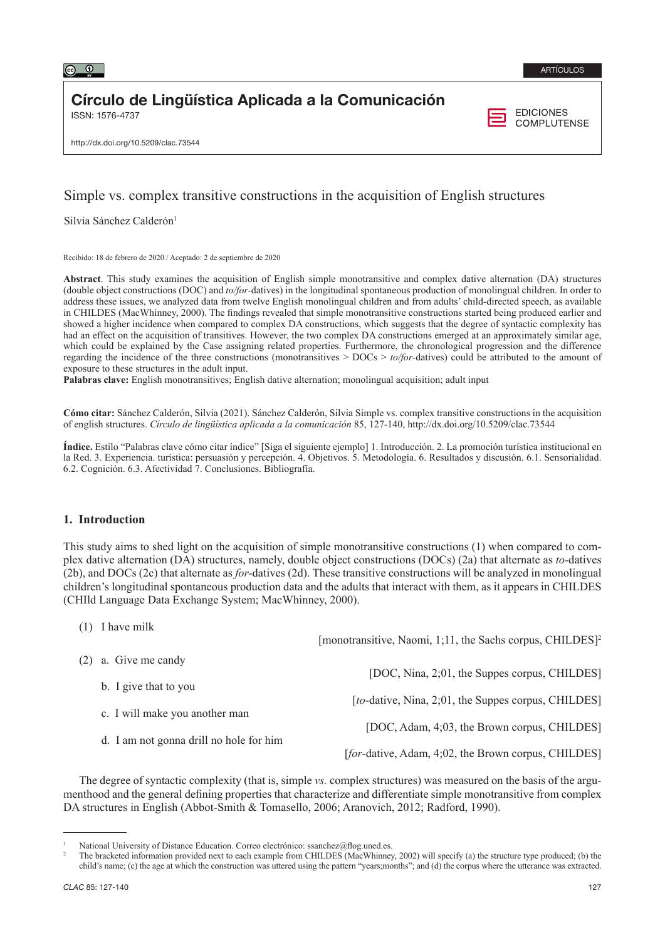

# Círculo de Lingüística Aplicada a la Comunicación

ISSN: 1576-4737

**EDICIONES COMPLUTENSE** 

http://dx.doi.org/10.5209/clac.73544

# Simple vs. complex transitive constructions in the acquisition of English structures

Silvia Sánchez Calderón<sup>1</sup>

Recibido: 18 de febrero de 2020 / Aceptado: 2 de septiembre de 2020

**Abstract**. This study examines the acquisition of English simple monotransitive and complex dative alternation (DA) structures (double object constructions (DOC) and *to/for-*datives) in the longitudinal spontaneous production of monolingual children. In order to address these issues, we analyzed data from twelve English monolingual children and from adults' child-directed speech, as available in CHILDES (MacWhinney, 2000). The findings revealed that simple monotransitive constructions started being produced earlier and showed a higher incidence when compared to complex DA constructions, which suggests that the degree of syntactic complexity has had an effect on the acquisition of transitives. However, the two complex DA constructions emerged at an approximately similar age, which could be explained by the Case assigning related properties. Furthermore, the chronological progression and the difference regarding the incidence of the three constructions (monotransitives > DOCs > *to/for-*datives) could be attributed to the amount of exposure to these structures in the adult input.

**Palabras clave:** English monotransitives; English dative alternation; monolingual acquisition; adult input

**Cómo citar:** Sánchez Calderón, Silvia (2021). Sánchez Calderón, Silvia Simple vs. complex transitive constructions in the acquisition of english structures. *Círculo de lingüística aplicada a la comunicación* 85, 127-140, http://dx.doi.org/10.5209/clac.73544

**Índice.** Estilo "Palabras clave cómo citar índice" [Siga el siguiente ejemplo] 1. Introducción. 2. La promoción turística institucional en la Red. 3. Experiencia. turística: persuasión y percepción. 4. Objetivos. 5. Metodología. 6. Resultados y discusión. 6.1. Sensorialidad. 6.2. Cognición. 6.3. Afectividad 7. Conclusiones. Bibliografía.

# **1. Introduction**

(1) I have milk

This study aims to shed light on the acquisition of simple monotransitive constructions (1) when compared to complex dative alternation (DA) structures, namely, double object constructions (DOCs) (2a) that alternate as *to-*datives (2b), and DOCs (2c) that alternate as *for-*datives (2d). These transitive constructions will be analyzed in monolingual children's longitudinal spontaneous production data and the adults that interact with them, as it appears in CHILDES (CHIld Language Data Exchange System; MacWhinney, 2000).

| $(1)$ luuvviiiiin.                      | [monotransitive, Naomi, 1;11, the Sachs corpus, CHILDES] <sup>2</sup> |
|-----------------------------------------|-----------------------------------------------------------------------|
| $(2)$ a. Give me candy                  |                                                                       |
| b. I give that to you                   | [DOC, Nina, 2;01, the Suppes corpus, CHILDES]                         |
|                                         | <i>[to-dative, Nina, 2;01, the Suppes corpus, CHILDES]</i>            |
| c. I will make you another man          | [DOC, Adam, 4;03, the Brown corpus, CHILDES]                          |
| d. I am not gonna drill no hole for him |                                                                       |
|                                         | [for-dative, Adam, 4;02, the Brown corpus, CHILDES]                   |

The degree of syntactic complexity (that is, simple *vs.* complex structures) was measured on the basis of the argumenthood and the general defining properties that characterize and differentiate simple monotransitive from complex DA structures in English (Abbot-Smith & Tomasello, 2006; Aranovich, 2012; Radford, 1990).

National University of Distance Education. Correo electrónico: ssanchez@flog.uned.es.

<sup>2</sup> The bracketed information provided next to each example from CHILDES (MacWhinney, 2002) will specify (a) the structure type produced; (b) the child's name; (c) the age at which the construction was uttered using the pattern "years;months"; and (d) the corpus where the utterance was extracted.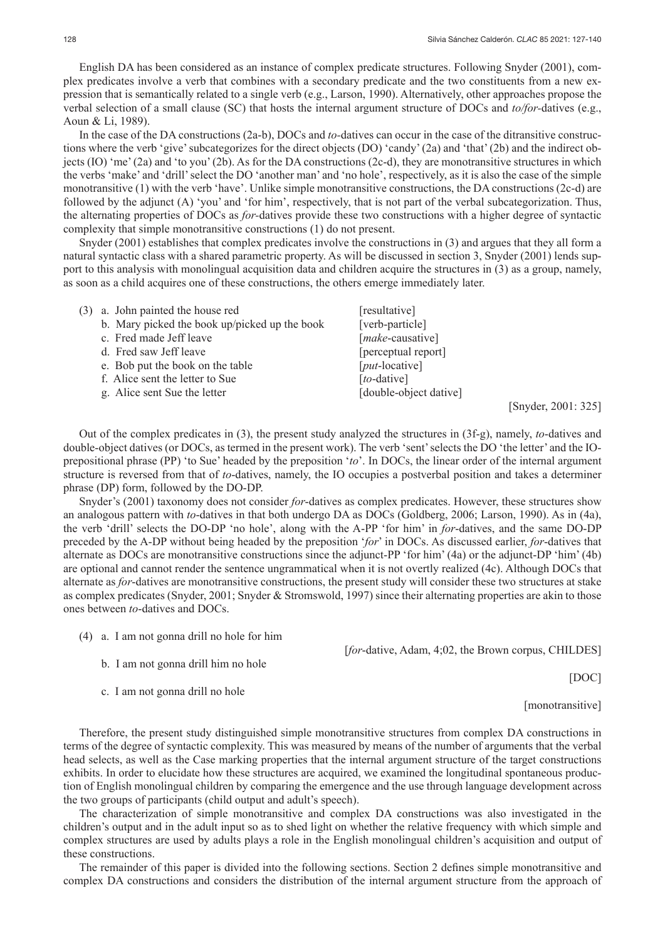English DA has been considered as an instance of complex predicate structures. Following Snyder (2001), complex predicates involve a verb that combines with a secondary predicate and the two constituents from a new expression that is semantically related to a single verb (e.g., Larson, 1990). Alternatively, other approaches propose the verbal selection of a small clause (SC) that hosts the internal argument structure of DOCs and *to/for-*datives (e.g., Aoun & Li, 1989).

In the case of the DA constructions (2a-b), DOCs and *to-*datives can occur in the case of the ditransitive constructions where the verb 'give' subcategorizes for the direct objects (DO) 'candy' (2a) and 'that' (2b) and the indirect objects (IO) 'me' (2a) and 'to you' (2b). As for the DA constructions (2c-d), they are monotransitive structures in which the verbs 'make' and 'drill' select the DO 'another man' and 'no hole', respectively, as it is also the case of the simple monotransitive (1) with the verb 'have'. Unlike simple monotransitive constructions, the DA constructions (2c-d) are followed by the adjunct (A) 'you' and 'for him', respectively, that is not part of the verbal subcategorization. Thus, the alternating properties of DOCs as *for-*datives provide these two constructions with a higher degree of syntactic complexity that simple monotransitive constructions (1) do not present.

Snyder (2001) establishes that complex predicates involve the constructions in (3) and argues that they all form a natural syntactic class with a shared parametric property. As will be discussed in section 3, Snyder (2001) lends support to this analysis with monolingual acquisition data and children acquire the structures in (3) as a group, namely, as soon as a child acquires one of these constructions, the others emerge immediately later.

| (3) a. John painted the house red             | [resultative]           |
|-----------------------------------------------|-------------------------|
| b. Mary picked the book up/picked up the book | [verb-particle]         |
| c. Fred made Jeff leave                       | [make-causative]        |
| d. Fred saw Jeff leave                        | [perceptual report]     |
| e. Bob put the book on the table              | $[put\text{-}locative]$ |
| f. Alice sent the letter to Sue               | [to-dative]             |
| g. Alice sent Sue the letter                  | [double-object dative]  |
|                                               |                         |

[Snyder, 2001: 325]

Out of the complex predicates in (3), the present study analyzed the structures in (3f-g), namely, *to*-datives and double-object datives (or DOCs, as termed in the present work). The verb 'sent' selects the DO 'the letter' and the IOprepositional phrase (PP) 'to Sue' headed by the preposition '*to*'. In DOCs, the linear order of the internal argument structure is reversed from that of *to*-datives, namely, the IO occupies a postverbal position and takes a determiner phrase (DP) form, followed by the DO-DP.

Snyder's (2001) taxonomy does not consider *for*-datives as complex predicates. However, these structures show an analogous pattern with *to*-datives in that both undergo DA as DOCs (Goldberg, 2006; Larson, 1990). As in (4a), the verb 'drill' selects the DO-DP 'no hole', along with the A-PP 'for him' in *for*-datives, and the same DO-DP preceded by the A-DP without being headed by the preposition '*for*' in DOCs. As discussed earlier, *for*-datives that alternate as DOCs are monotransitive constructions since the adjunct-PP 'for him' (4a) or the adjunct-DP 'him' (4b) are optional and cannot render the sentence ungrammatical when it is not overtly realized (4c). Although DOCs that alternate as *for*-datives are monotransitive constructions, the present study will consider these two structures at stake as complex predicates (Snyder, 2001; Snyder & Stromswold, 1997) since their alternating properties are akin to those ones between *to*-datives and DOCs.

(4) a. I am not gonna drill no hole for him

[*for*-dative, Adam, 4;02, the Brown corpus, CHILDES]

- b. I am not gonna drill him no hole
- c. I am not gonna drill no hole

[monotransitive]

[DOC]

Therefore, the present study distinguished simple monotransitive structures from complex DA constructions in terms of the degree of syntactic complexity. This was measured by means of the number of arguments that the verbal head selects, as well as the Case marking properties that the internal argument structure of the target constructions exhibits. In order to elucidate how these structures are acquired, we examined the longitudinal spontaneous production of English monolingual children by comparing the emergence and the use through language development across the two groups of participants (child output and adult's speech).

The characterization of simple monotransitive and complex DA constructions was also investigated in the children's output and in the adult input so as to shed light on whether the relative frequency with which simple and complex structures are used by adults plays a role in the English monolingual children's acquisition and output of these constructions.

The remainder of this paper is divided into the following sections. Section 2 defines simple monotransitive and complex DA constructions and considers the distribution of the internal argument structure from the approach of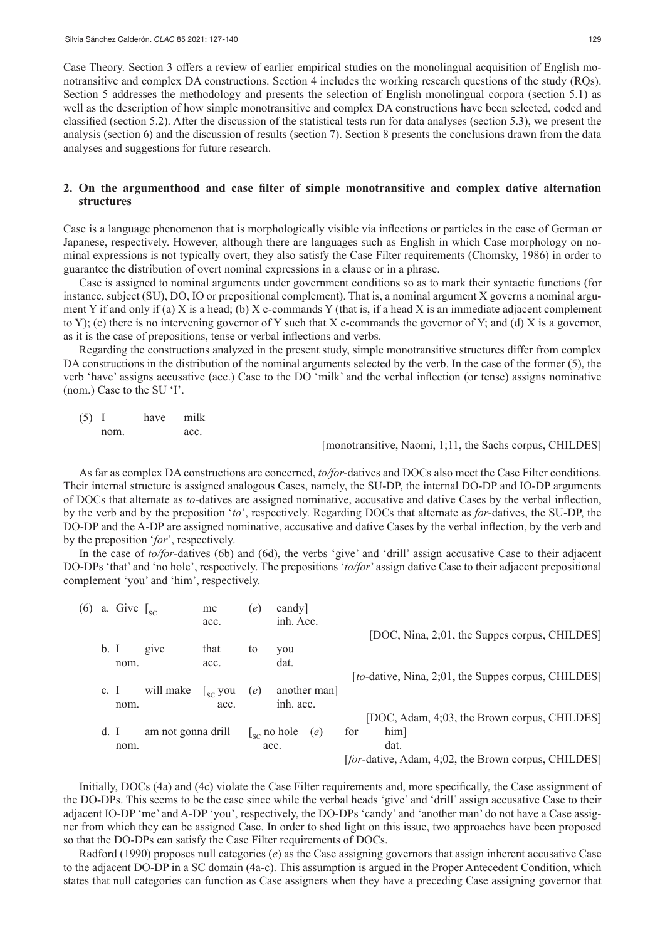Case Theory. Section 3 offers a review of earlier empirical studies on the monolingual acquisition of English monotransitive and complex DA constructions. Section 4 includes the working research questions of the study (RQs). Section 5 addresses the methodology and presents the selection of English monolingual corpora (section 5.1) as well as the description of how simple monotransitive and complex DA constructions have been selected, coded and classified (section 5.2). After the discussion of the statistical tests run for data analyses (section 5.3), we present the analysis (section 6) and the discussion of results (section 7). Section 8 presents the conclusions drawn from the data analyses and suggestions for future research.

# **2. On the argumenthood and case filter of simple monotransitive and complex dative alternation structures**

Case is a language phenomenon that is morphologically visible via inflections or particles in the case of German or Japanese, respectively. However, although there are languages such as English in which Case morphology on nominal expressions is not typically overt, they also satisfy the Case Filter requirements (Chomsky, 1986) in order to guarantee the distribution of overt nominal expressions in a clause or in a phrase.

Case is assigned to nominal arguments under government conditions so as to mark their syntactic functions (for instance, subject (SU), DO, IO or prepositional complement). That is, a nominal argument X governs a nominal argument Y if and only if (a) X is a head; (b) X c-commands Y (that is, if a head X is an immediate adjacent complement to Y); (c) there is no intervening governor of Y such that X c-commands the governor of Y; and (d) X is a governor, as it is the case of prepositions, tense or verbal inflections and verbs.

Regarding the constructions analyzed in the present study, simple monotransitive structures differ from complex DA constructions in the distribution of the nominal arguments selected by the verb. In the case of the former (5), the verb 'have' assigns accusative (acc.) Case to the DO 'milk' and the verbal inflection (or tense) assigns nominative (nom.) Case to the SU 'I'.

(5) I have milk nom. acc.

[monotransitive, Naomi, 1;11, the Sachs corpus, CHILDES]

As far as complex DA constructions are concerned, *to/for-*datives and DOCs also meet the Case Filter conditions. Their internal structure is assigned analogous Cases, namely, the SU-DP, the internal DO-DP and IO-DP arguments of DOCs that alternate as *to-*datives are assigned nominative, accusative and dative Cases by the verbal inflection, by the verb and by the preposition '*to*', respectively. Regarding DOCs that alternate as *for-*datives, the SU-DP, the DO-DP and the A-DP are assigned nominative, accusative and dative Cases by the verbal inflection, by the verb and by the preposition '*for*', respectively.

In the case of *to/for-*datives (6b) and (6d), the verbs 'give' and 'drill' assign accusative Case to their adjacent DO-DPs 'that' and 'no hole', respectively. The prepositions '*to/for*' assign dative Case to their adjacent prepositional complement 'you' and 'him', respectively.

| (6) |                 | a. Give $\int_{SC}$ |                    | me                                          | (e) | candy]<br>inh. Acc.            |             |     |                                                     |  |
|-----|-----------------|---------------------|--------------------|---------------------------------------------|-----|--------------------------------|-------------|-----|-----------------------------------------------------|--|
|     |                 |                     |                    | acc.                                        |     |                                |             |     | [DOC, Nina, 2,01, the Suppes corpus, CHILDES]       |  |
|     | b. I            |                     | give               | that                                        | to  | you                            |             |     |                                                     |  |
|     |                 | nom.                |                    | acc.                                        |     | dat.                           |             |     |                                                     |  |
|     |                 |                     |                    |                                             |     |                                |             |     | [to-dative, Nina, 2;01, the Suppes corpus, CHILDES] |  |
|     | c. $\mathbf{I}$ |                     | will make          | $\left\lfloor_{\text{sc}}\right\rfloor$ you | (e) |                                | another man |     |                                                     |  |
|     |                 | nom.                |                    | acc.                                        |     | inh. acc.                      |             |     | [DOC, Adam, 4;03, the Brown corpus, CHILDES]        |  |
|     | d. I            |                     | am not gonna drill |                                             |     | $\mathcal{L}_{\rm sc}$ no hole | (e)         | for | him]                                                |  |
|     |                 | nom.                |                    |                                             |     | acc.                           |             |     | dat.                                                |  |
|     |                 |                     |                    |                                             |     |                                |             |     | [for-dative, Adam, 4;02, the Brown corpus, CHILDES] |  |
|     |                 |                     |                    |                                             |     |                                |             |     |                                                     |  |

Initially, DOCs (4a) and (4c) violate the Case Filter requirements and, more specifically, the Case assignment of the DO-DPs. This seems to be the case since while the verbal heads 'give' and 'drill' assign accusative Case to their adjacent IO-DP 'me' and A-DP 'you', respectively, the DO-DPs 'candy' and 'another man' do not have a Case assigner from which they can be assigned Case. In order to shed light on this issue, two approaches have been proposed so that the DO-DPs can satisfy the Case Filter requirements of DOCs.

Radford (1990) proposes null categories (*e*) as the Case assigning governors that assign inherent accusative Case to the adjacent DO-DP in a SC domain (4a-c). This assumption is argued in the Proper Antecedent Condition, which states that null categories can function as Case assigners when they have a preceding Case assigning governor that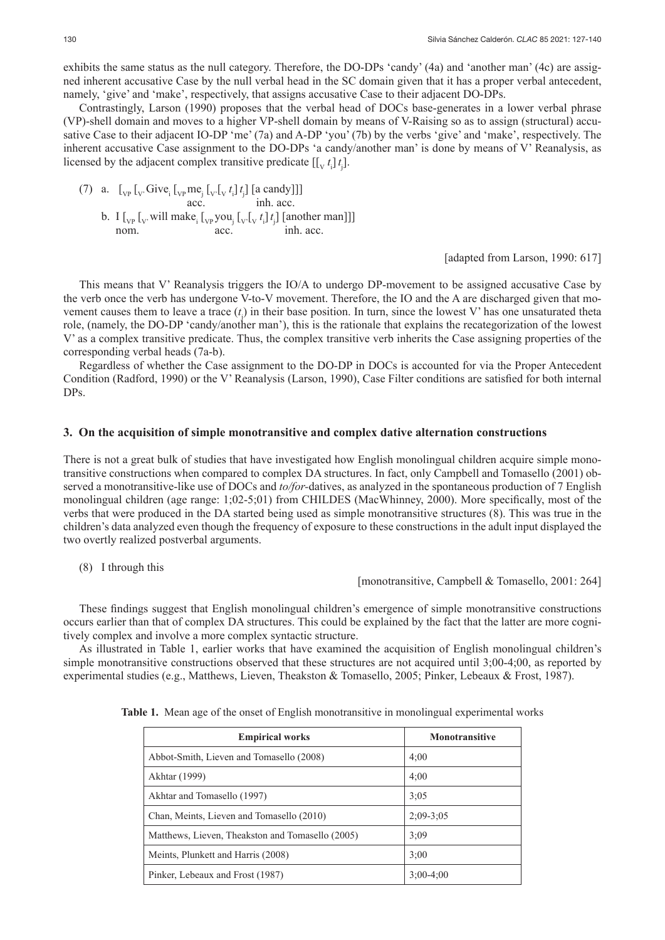exhibits the same status as the null category. Therefore, the DO-DPs 'candy' (4a) and 'another man' (4c) are assigned inherent accusative Case by the null verbal head in the SC domain given that it has a proper verbal antecedent, namely, 'give' and 'make', respectively, that assigns accusative Case to their adjacent DO-DPs.

Contrastingly, Larson (1990) proposes that the verbal head of DOCs base-generates in a lower verbal phrase (VP)-shell domain and moves to a higher VP-shell domain by means of V-Raising so as to assign (structural) accusative Case to their adjacent IO-DP 'me' (7a) and A-DP 'you' (7b) by the verbs 'give' and 'make', respectively. The inherent accusative Case assignment to the DO-DPs 'a candy/another man' is done by means of V' Reanalysis, as licensed by the adjacent complex transitive predicate  $[[v_t^t]_t]$ .

|  |      | (7) a. $\left[ \int_{VP} \int_{V'} Give_i \left[ \int_{VP} me_i \left[ \int_{V'} t_i \right] t_i \right] \left[ a \text{ candy} \right] \right]$ |                                                                                                                                                                                                           |
|--|------|--------------------------------------------------------------------------------------------------------------------------------------------------|-----------------------------------------------------------------------------------------------------------------------------------------------------------------------------------------------------------|
|  |      | acc.                                                                                                                                             | inh acc.                                                                                                                                                                                                  |
|  |      |                                                                                                                                                  | b. I $\left[\int_{VP} \left[\int_{V'} \text{will make}_{i} \left[\int_{VP} \text{you}_{i} \left[\int_{V'} \left[\int_{V} t_{i}\right] t_{i}\right] \right] \left[\text{another man}\right]\right]\right]$ |
|  | nom. | acc.                                                                                                                                             | inh. acc.                                                                                                                                                                                                 |

[adapted from Larson, 1990: 617]

This means that V' Reanalysis triggers the IO/A to undergo DP-movement to be assigned accusative Case by the verb once the verb has undergone V-to-V movement. Therefore, the IO and the A are discharged given that movement causes them to leave a trace  $(t_j)$  in their base position. In turn, since the lowest V' has one unsaturated theta role, (namely, the DO-DP 'candy/another man'), this is the rationale that explains the recategorization of the lowest V' as a complex transitive predicate. Thus, the complex transitive verb inherits the Case assigning properties of the corresponding verbal heads (7a-b).

Regardless of whether the Case assignment to the DO-DP in DOCs is accounted for via the Proper Antecedent Condition (Radford, 1990) or the V' Reanalysis (Larson, 1990), Case Filter conditions are satisfied for both internal DPs.

# **3. On the acquisition of simple monotransitive and complex dative alternation constructions**

There is not a great bulk of studies that have investigated how English monolingual children acquire simple monotransitive constructions when compared to complex DA structures. In fact, only Campbell and Tomasello (2001) observed a monotransitive-like use of DOCs and *to/for-*datives, as analyzed in the spontaneous production of 7 English monolingual children (age range: 1;02-5;01) from CHILDES (MacWhinney, 2000). More specifically, most of the verbs that were produced in the DA started being used as simple monotransitive structures (8). This was true in the children's data analyzed even though the frequency of exposure to these constructions in the adult input displayed the two overtly realized postverbal arguments.

(8) I through this

#### [monotransitive, Campbell & Tomasello, 2001: 264]

These findings suggest that English monolingual children's emergence of simple monotransitive constructions occurs earlier than that of complex DA structures. This could be explained by the fact that the latter are more cognitively complex and involve a more complex syntactic structure.

As illustrated in Table 1, earlier works that have examined the acquisition of English monolingual children's simple monotransitive constructions observed that these structures are not acquired until 3;00-4;00, as reported by experimental studies (e.g., Matthews, Lieven, Theakston & Tomasello, 2005; Pinker, Lebeaux & Frost, 1987).

|  |  | <b>Table 1.</b> Mean age of the onset of English monotransitive in monolingual experimental works |  |  |  |  |
|--|--|---------------------------------------------------------------------------------------------------|--|--|--|--|
|--|--|---------------------------------------------------------------------------------------------------|--|--|--|--|

| <b>Empirical works</b>                           | <b>Monotransitive</b> |
|--------------------------------------------------|-----------------------|
| Abbot-Smith, Lieven and Tomasello (2008)         | 4:00                  |
| Akhtar (1999)                                    | 4:00                  |
| Akhtar and Tomasello (1997)                      | 3:05                  |
| Chan, Meints, Lieven and Tomasello (2010)        | $2:09 - 3:05$         |
| Matthews, Lieven, Theakston and Tomasello (2005) | 3:09                  |
| Meints, Plunkett and Harris (2008)               | 3:00                  |
| Pinker, Lebeaux and Frost (1987)                 | $3:00-4:00$           |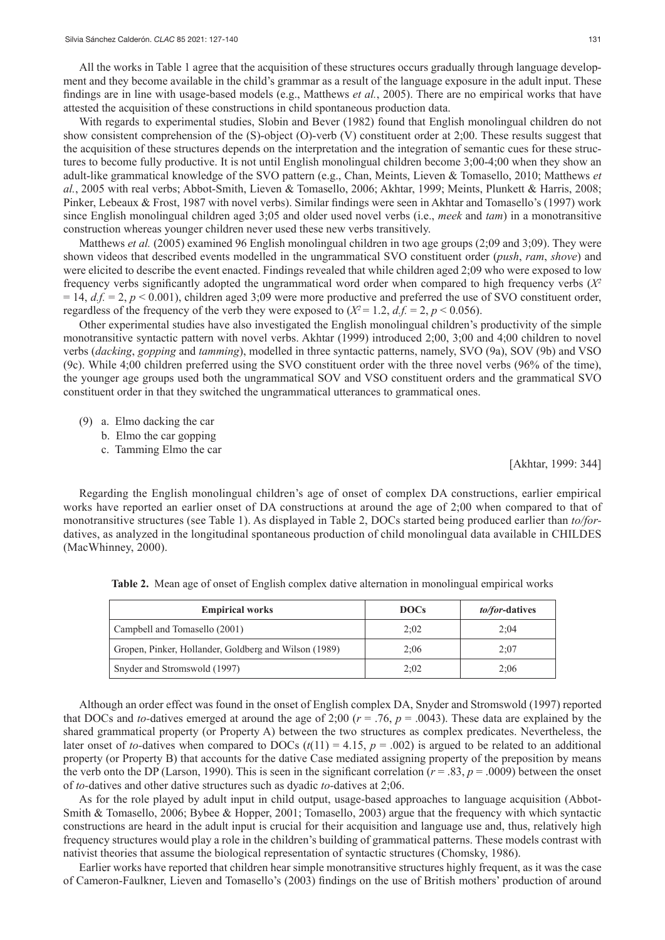All the works in Table 1 agree that the acquisition of these structures occurs gradually through language development and they become available in the child's grammar as a result of the language exposure in the adult input. These findings are in line with usage-based models (e.g., Matthews *et al.*, 2005). There are no empirical works that have attested the acquisition of these constructions in child spontaneous production data.

With regards to experimental studies, Slobin and Bever (1982) found that English monolingual children do not show consistent comprehension of the (S)-object (O)-verb (V) constituent order at 2;00. These results suggest that the acquisition of these structures depends on the interpretation and the integration of semantic cues for these structures to become fully productive. It is not until English monolingual children become 3;00-4;00 when they show an adult-like grammatical knowledge of the SVO pattern (e.g., Chan, Meints, Lieven & Tomasello, 2010; Matthews *et al.*, 2005 with real verbs; Abbot-Smith, Lieven & Tomasello, 2006; Akhtar, 1999; Meints, Plunkett & Harris, 2008; Pinker, Lebeaux & Frost, 1987 with novel verbs). Similar findings were seen in Akhtar and Tomasello's (1997) work since English monolingual children aged 3;05 and older used novel verbs (i.e., *meek* and *tam*) in a monotransitive construction whereas younger children never used these new verbs transitively.

Matthews *et al.* (2005) examined 96 English monolingual children in two age groups (2;09 and 3;09). They were shown videos that described events modelled in the ungrammatical SVO constituent order (*push*, *ram*, *shove*) and were elicited to describe the event enacted. Findings revealed that while children aged 2;09 who were exposed to low frequency verbs significantly adopted the ungrammatical word order when compared to high frequency verbs (*X2*  $= 14$ ,  $d.f. = 2$ ,  $p < 0.001$ ), children aged 3;09 were more productive and preferred the use of SVO constituent order, regardless of the frequency of the verb they were exposed to  $(X^2 = 1.2, d.f. = 2, p < 0.056)$ .

Other experimental studies have also investigated the English monolingual children's productivity of the simple monotransitive syntactic pattern with novel verbs. Akhtar (1999) introduced 2;00, 3;00 and 4;00 children to novel verbs (*dacking*, *gopping* and *tamming*), modelled in three syntactic patterns, namely, SVO (9a), SOV (9b) and VSO (9c). While 4;00 children preferred using the SVO constituent order with the three novel verbs (96% of the time), the younger age groups used both the ungrammatical SOV and VSO constituent orders and the grammatical SVO constituent order in that they switched the ungrammatical utterances to grammatical ones.

- (9) a. Elmo dacking the car
	- b. Elmo the car gopping
	- c. Tamming Elmo the car

[Akhtar, 1999: 344]

Regarding the English monolingual children's age of onset of complex DA constructions, earlier empirical works have reported an earlier onset of DA constructions at around the age of 2;00 when compared to that of monotransitive structures (see Table 1). As displayed in Table 2, DOCs started being produced earlier than *to/for*datives, as analyzed in the longitudinal spontaneous production of child monolingual data available in CHILDES (MacWhinney, 2000).

| <b>Empirical works</b>                                | <b>DOCs</b> | <i>to/for-datives</i> |
|-------------------------------------------------------|-------------|-----------------------|
| Campbell and Tomasello (2001)                         | 2:02        | 2:04                  |
| Gropen, Pinker, Hollander, Goldberg and Wilson (1989) | 2:06        | 2:07                  |
| Snyder and Stromswold (1997)                          | 2:02        | 2:06                  |

**Table 2.** Mean age of onset of English complex dative alternation in monolingual empirical works

Although an order effect was found in the onset of English complex DA, Snyder and Stromswold (1997) reported that DOCs and *to-*datives emerged at around the age of 2;00 (*r* = .76, *p* = .0043). These data are explained by the shared grammatical property (or Property A) between the two structures as complex predicates. Nevertheless, the later onset of *to*-datives when compared to DOCs  $(t(11) = 4.15, p = .002)$  is argued to be related to an additional property (or Property B) that accounts for the dative Case mediated assigning property of the preposition by means the verb onto the DP (Larson, 1990). This is seen in the significant correlation ( $r = .83$ ,  $p = .0009$ ) between the onset of *to-*datives and other dative structures such as dyadic *to-*datives at 2;06.

As for the role played by adult input in child output, usage-based approaches to language acquisition (Abbot-Smith & Tomasello, 2006; Bybee & Hopper, 2001; Tomasello, 2003) argue that the frequency with which syntactic constructions are heard in the adult input is crucial for their acquisition and language use and, thus, relatively high frequency structures would play a role in the children's building of grammatical patterns. These models contrast with nativist theories that assume the biological representation of syntactic structures (Chomsky, 1986).

Earlier works have reported that children hear simple monotransitive structures highly frequent, as it was the case of Cameron-Faulkner, Lieven and Tomasello's (2003) findings on the use of British mothers' production of around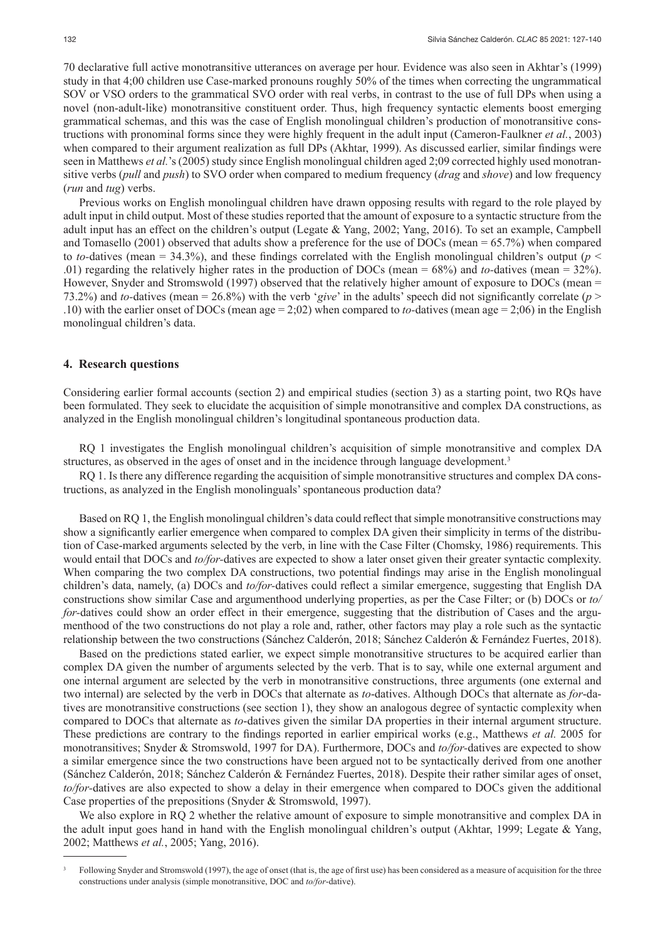70 declarative full active monotransitive utterances on average per hour. Evidence was also seen in Akhtar's (1999) study in that 4;00 children use Case-marked pronouns roughly 50% of the times when correcting the ungrammatical SOV or VSO orders to the grammatical SVO order with real verbs, in contrast to the use of full DPs when using a novel (non-adult-like) monotransitive constituent order. Thus, high frequency syntactic elements boost emerging grammatical schemas, and this was the case of English monolingual children's production of monotransitive constructions with pronominal forms since they were highly frequent in the adult input (Cameron-Faulkner *et al.*, 2003) when compared to their argument realization as full DPs (Akhtar, 1999). As discussed earlier, similar findings were seen in Matthews *et al.*'s (2005) study since English monolingual children aged 2;09 corrected highly used monotransitive verbs (*pull* and *push*) to SVO order when compared to medium frequency (*drag* and *shove*) and low frequency (*run* and *tug*) verbs.

Previous works on English monolingual children have drawn opposing results with regard to the role played by adult input in child output. Most of these studies reported that the amount of exposure to a syntactic structure from the adult input has an effect on the children's output (Legate & Yang, 2002; Yang, 2016). To set an example, Campbell and Tomasello (2001) observed that adults show a preference for the use of DOCs (mean = 65.7%) when compared to *to*-datives (mean = 34.3%), and these findings correlated with the English monolingual children's output ( $p <$ .01) regarding the relatively higher rates in the production of DOCs (mean = 68%) and *to-*datives (mean = 32%). However, Snyder and Stromswold (1997) observed that the relatively higher amount of exposure to DOCs (mean = 73.2%) and *to-*datives (mean = 26.8%) with the verb '*give*' in the adults' speech did not significantly correlate (*p* > .10) with the earlier onset of DOCs (mean age = 2;02) when compared to *to-*datives (mean age = 2;06) in the English monolingual children's data.

#### **4. Research questions**

Considering earlier formal accounts (section 2) and empirical studies (section 3) as a starting point, two RQs have been formulated. They seek to elucidate the acquisition of simple monotransitive and complex DA constructions, as analyzed in the English monolingual children's longitudinal spontaneous production data.

RQ 1 investigates the English monolingual children's acquisition of simple monotransitive and complex DA structures, as observed in the ages of onset and in the incidence through language development.<sup>3</sup>

RQ 1. Is there any difference regarding the acquisition of simple monotransitive structures and complex DA constructions, as analyzed in the English monolinguals' spontaneous production data?

Based on RQ 1, the English monolingual children's data could reflect that simple monotransitive constructions may show a significantly earlier emergence when compared to complex DA given their simplicity in terms of the distribution of Case-marked arguments selected by the verb, in line with the Case Filter (Chomsky, 1986) requirements. This would entail that DOCs and *to/for-*datives are expected to show a later onset given their greater syntactic complexity. When comparing the two complex DA constructions, two potential findings may arise in the English monolingual children's data, namely, (a) DOCs and *to/for-*datives could reflect a similar emergence, suggesting that English DA constructions show similar Case and argumenthood underlying properties, as per the Case Filter; or (b) DOCs or *to/ for*-datives could show an order effect in their emergence, suggesting that the distribution of Cases and the argumenthood of the two constructions do not play a role and, rather, other factors may play a role such as the syntactic relationship between the two constructions (Sánchez Calderón, 2018; Sánchez Calderón & Fernández Fuertes, 2018).

Based on the predictions stated earlier, we expect simple monotransitive structures to be acquired earlier than complex DA given the number of arguments selected by the verb. That is to say, while one external argument and one internal argument are selected by the verb in monotransitive constructions, three arguments (one external and two internal) are selected by the verb in DOCs that alternate as *to*-datives. Although DOCs that alternate as *for*-datives are monotransitive constructions (see section 1), they show an analogous degree of syntactic complexity when compared to DOCs that alternate as *to*-datives given the similar DA properties in their internal argument structure. These predictions are contrary to the findings reported in earlier empirical works (e.g., Matthews *et al.* 2005 for monotransitives; Snyder & Stromswold, 1997 for DA). Furthermore, DOCs and *to/for-*datives are expected to show a similar emergence since the two constructions have been argued not to be syntactically derived from one another (Sánchez Calderón, 2018; Sánchez Calderón & Fernández Fuertes, 2018). Despite their rather similar ages of onset, *to/for-*datives are also expected to show a delay in their emergence when compared to DOCs given the additional Case properties of the prepositions (Snyder & Stromswold, 1997).

We also explore in RQ 2 whether the relative amount of exposure to simple monotransitive and complex DA in the adult input goes hand in hand with the English monolingual children's output (Akhtar, 1999; Legate & Yang, 2002; Matthews *et al.*, 2005; Yang, 2016).

<sup>3</sup> Following Snyder and Stromswold (1997), the age of onset (that is, the age of first use) has been considered as a measure of acquisition for the three constructions under analysis (simple monotransitive, DOC and *to/for*-dative).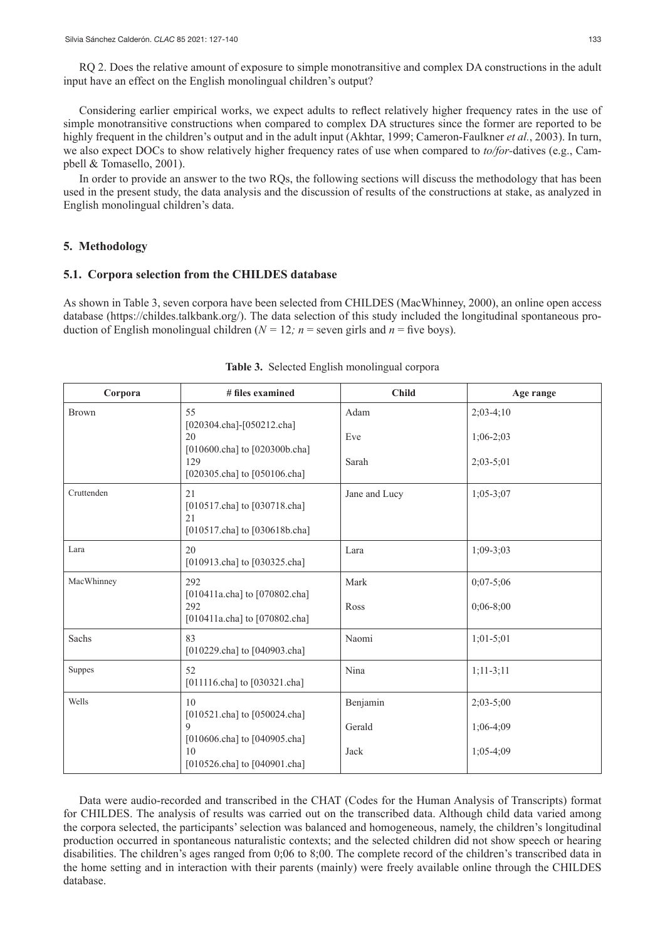RQ 2. Does the relative amount of exposure to simple monotransitive and complex DA constructions in the adult input have an effect on the English monolingual children's output?

Considering earlier empirical works, we expect adults to reflect relatively higher frequency rates in the use of simple monotransitive constructions when compared to complex DA structures since the former are reported to be highly frequent in the children's output and in the adult input (Akhtar, 1999; Cameron-Faulkner *et al.*, 2003). In turn, we also expect DOCs to show relatively higher frequency rates of use when compared to *to/for-*datives (e.g., Campbell & Tomasello, 2001).

In order to provide an answer to the two RQs, the following sections will discuss the methodology that has been used in the present study, the data analysis and the discussion of results of the constructions at stake, as analyzed in English monolingual children's data.

#### **5. Methodology**

#### **5.1. Corpora selection from the CHILDES database**

As shown in Table 3, seven corpora have been selected from CHILDES (MacWhinney, 2000), an online open access database (https://childes.talkbank.org/). The data selection of this study included the longitudinal spontaneous production of English monolingual children ( $N = 12$ *; n* = seven girls and *n* = five boys).

| Corpora      | # files examined                                                          | <b>Child</b>  | Age range     |
|--------------|---------------------------------------------------------------------------|---------------|---------------|
| <b>Brown</b> | 55<br>[020304.cha]-[050212.cha]                                           | Adam          | $2;03-4;10$   |
|              | 20<br>[010600.cha] to [020300b.cha]                                       | Eve           | $1;06-2;03$   |
|              | 129<br>[020305.cha] to [050106.cha]                                       | Sarah         | $2;03-5;01$   |
| Cruttenden   | 21<br>[010517.cha] to [030718.cha]<br>21<br>[010517.cha] to [030618b.cha] | Jane and Lucy | $1;05-3;07$   |
| Lara         | 20<br>[010913.cha] to [030325.cha]                                        | Lara          | $1:09 - 3:03$ |
| MacWhinney   | 292<br>[010411a.cha] to [070802.cha]                                      | Mark          | $0;07-5;06$   |
|              | 292<br>[010411a.cha] to [070802.cha]                                      | Ross          | $0;06-8;00$   |
| Sachs        | 83<br>[010229.cha] to [040903.cha]                                        | Naomi         | $1;01-5;01$   |
| Suppes       | 52<br>[011116.cha] to [030321.cha]                                        | Nina          | $1;11-3;11$   |
| Wells        | 10<br>[010521.cha] to [050024.cha]                                        | Benjamin      | $2;03-5;00$   |
|              | 9<br>[010606.cha] to [040905.cha]                                         | Gerald        | $1;06-4;09$   |
|              | 10<br>[010526.cha] to [040901.cha]                                        | Jack          | $1;05-4;09$   |

|  |  |  |  | Table 3. Selected English monolingual corpora |  |
|--|--|--|--|-----------------------------------------------|--|
|--|--|--|--|-----------------------------------------------|--|

Data were audio-recorded and transcribed in the CHAT (Codes for the Human Analysis of Transcripts) format for CHILDES. The analysis of results was carried out on the transcribed data. Although child data varied among the corpora selected, the participants' selection was balanced and homogeneous, namely, the children's longitudinal production occurred in spontaneous naturalistic contexts; and the selected children did not show speech or hearing disabilities. The children's ages ranged from 0;06 to 8;00. The complete record of the children's transcribed data in the home setting and in interaction with their parents (mainly) were freely available online through the CHILDES database.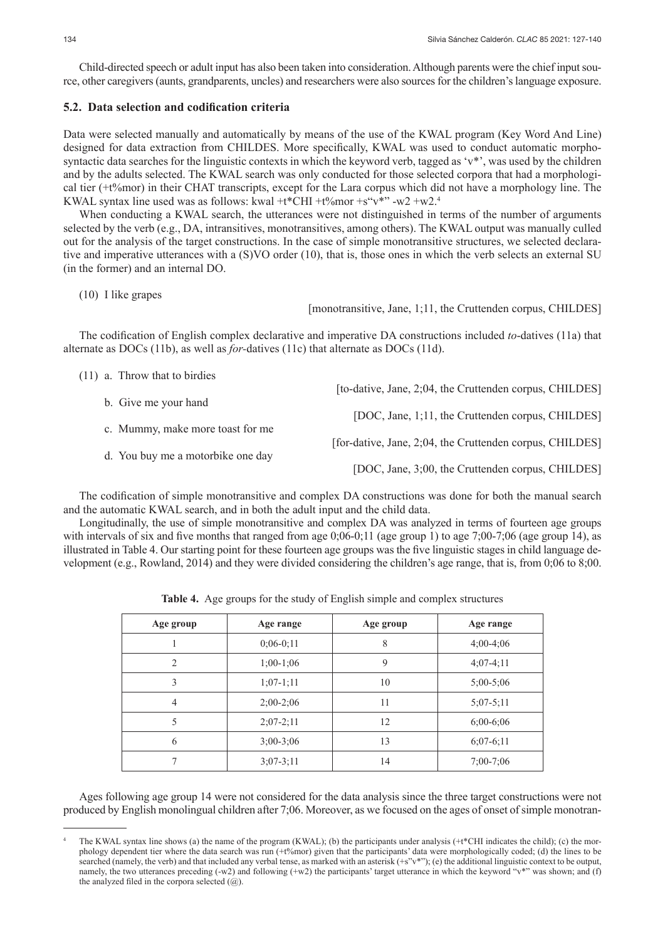Child-directed speech or adult input has also been taken into consideration. Although parents were the chief input source, other caregivers (aunts, grandparents, uncles) and researchers were also sources for the children's language exposure.

## **5.2. Data selection and codification criteria**

Data were selected manually and automatically by means of the use of the KWAL program (Key Word And Line) designed for data extraction from CHILDES. More specifically, KWAL was used to conduct automatic morphosyntactic data searches for the linguistic contexts in which the keyword verb, tagged as 'v\*', was used by the children and by the adults selected. The KWAL search was only conducted for those selected corpora that had a morphological tier (+t%mor) in their CHAT transcripts, except for the Lara corpus which did not have a morphology line. The KWAL syntax line used was as follows: kwal +t\*CHI +t%mor +s"v\*" -w2 +w2.4

When conducting a KWAL search, the utterances were not distinguished in terms of the number of arguments selected by the verb (e.g., DA, intransitives, monotransitives, among others). The KWAL output was manually culled out for the analysis of the target constructions. In the case of simple monotransitive structures, we selected declarative and imperative utterances with a (S)VO order (10), that is, those ones in which the verb selects an external SU (in the former) and an internal DO.

```
(10) I like grapes
```
[monotransitive, Jane, 1;11, the Cruttenden corpus, CHILDES]

The codification of English complex declarative and imperative DA constructions included *to*-datives (11a) that alternate as DOCs (11b), as well as *for-*datives (11c) that alternate as DOCs (11d).

|  | $(11)$ a. Throw that to birdies   |                                                          |
|--|-----------------------------------|----------------------------------------------------------|
|  |                                   | [to-dative, Jane, 2;04, the Cruttenden corpus, CHILDES]  |
|  | b. Give me your hand              | [DOC, Jane, 1;11, the Cruttenden corpus, CHILDES]        |
|  | c. Mummy, make more toast for me  |                                                          |
|  |                                   | [for-dative, Jane, 2;04, the Cruttenden corpus, CHILDES] |
|  | d. You buy me a motorbike one day |                                                          |
|  |                                   | [DOC, Jane, 3;00, the Cruttenden corpus, CHILDES]        |
|  |                                   |                                                          |

The codification of simple monotransitive and complex DA constructions was done for both the manual search and the automatic KWAL search, and in both the adult input and the child data.

Longitudinally, the use of simple monotransitive and complex DA was analyzed in terms of fourteen age groups with intervals of six and five months that ranged from age 0;06-0;11 (age group 1) to age 7;00-7;06 (age group 14), as illustrated in Table 4. Our starting point for these fourteen age groups was the five linguistic stages in child language development (e.g., Rowland, 2014) and they were divided considering the children's age range, that is, from 0;06 to 8;00.

| Age group      | Age range     | Age group | Age range   |
|----------------|---------------|-----------|-------------|
|                | $0;06-0;11$   | 8         | $4;00-4;06$ |
| $\mathcal{D}$  | $1;00-1;06$   | 9         | $4:07-4:11$ |
| 3              | $1;07-1;11$   | 10        | $5;00-5;06$ |
| $\overline{4}$ | $2;00-2;06$   | 11        | $5;07-5;11$ |
|                | $2;07-2;11$   | 12        | $6;00-6;06$ |
| 6              | $3;00-3;06$   | 13        | $6;07-6;11$ |
| ⇁              | $3:07 - 3:11$ | 14        | $7;00-7;06$ |

**Table 4.** Age groups for the study of English simple and complex structures

Ages following age group 14 were not considered for the data analysis since the three target constructions were not produced by English monolingual children after 7;06. Moreover, as we focused on the ages of onset of simple monotran-

The KWAL syntax line shows (a) the name of the program (KWAL); (b) the participants under analysis  $(+\ell^*CHI$  indicates the child); (c) the morphology dependent tier where the data search was run (+t%mor) given that the participants' data were morphologically coded; (d) the lines to be searched (namely, the verb) and that included any verbal tense, as marked with an asterisk (+s"v\*"); (e) the additional linguistic context to be output, namely, the two utterances preceding (-w2) and following (+w2) the participants' target utterance in which the keyword "v\*" was shown; and (f) the analyzed filed in the corpora selected  $(Q)$ .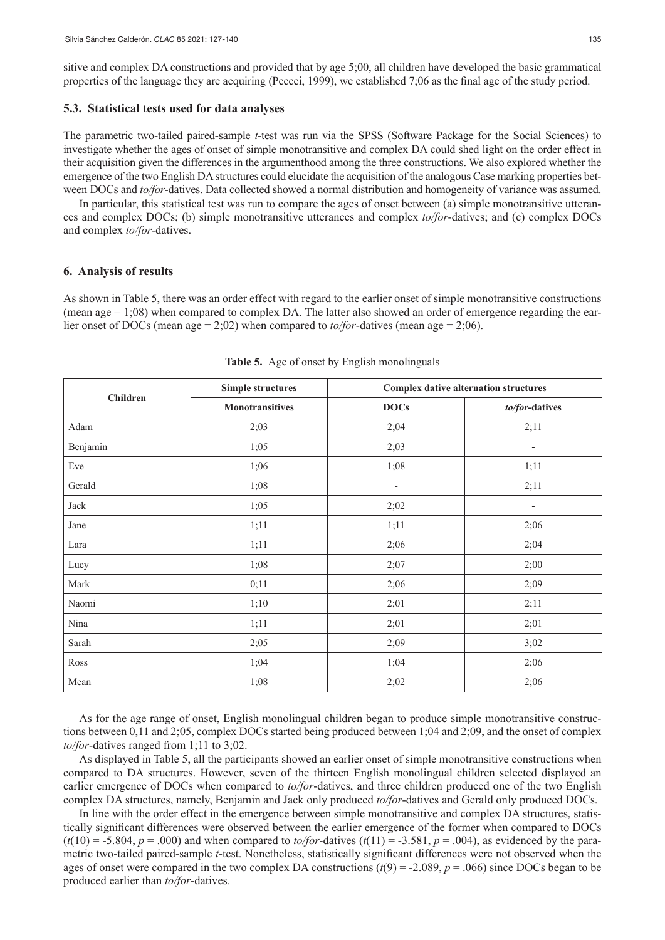## **5.3. Statistical tests used for data analyses**

The parametric two-tailed paired-sample *t*-test was run via the SPSS (Software Package for the Social Sciences) to investigate whether the ages of onset of simple monotransitive and complex DA could shed light on the order effect in their acquisition given the differences in the argumenthood among the three constructions. We also explored whether the emergence of the two English DA structures could elucidate the acquisition of the analogous Case marking properties between DOCs and *to/for*-datives. Data collected showed a normal distribution and homogeneity of variance was assumed.

In particular, this statistical test was run to compare the ages of onset between (a) simple monotransitive utterances and complex DOCs; (b) simple monotransitive utterances and complex *to/for*-datives; and (c) complex DOCs and complex *to/for*-datives.

#### **6. Analysis of results**

As shown in Table 5, there was an order effect with regard to the earlier onset of simple monotransitive constructions (mean age  $= 1;08$ ) when compared to complex DA. The latter also showed an order of emergence regarding the earlier onset of DOCs (mean age = 2;02) when compared to *to/for*-datives (mean age = 2;06).

|                 | <b>Simple structures</b> | <b>Complex dative alternation structures</b> |                          |  |
|-----------------|--------------------------|----------------------------------------------|--------------------------|--|
| <b>Children</b> | <b>Monotransitives</b>   | <b>DOCs</b>                                  | to/for-datives           |  |
| Adam            | 2;03                     | 2;04                                         | 2;11                     |  |
| Benjamin        | 1;05                     | 2;03                                         | $\overline{a}$           |  |
| Eve             | 1;06                     | 1;08                                         | 1;11                     |  |
| Gerald          | 1;08                     | $\overline{\phantom{a}}$                     | 2;11                     |  |
| Jack            | 1;05                     | 2;02                                         | $\overline{\phantom{a}}$ |  |
| Jane            | 1;11                     | 1;11                                         | 2;06                     |  |
| Lara            | 1;11                     | 2;06                                         | 2;04                     |  |
| Lucy            | 1;08                     | 2;07                                         | 2;00                     |  |
| Mark            | 0;11                     | 2;06                                         | 2;09                     |  |
| Naomi           | 1;10                     | 2;01                                         | 2;11                     |  |
| Nina            | 1;11                     | 2;01                                         | 2;01                     |  |
| Sarah           | 2;05                     | 2;09                                         | 3;02                     |  |
| Ross            | 1;04                     | 1;04                                         | 2;06                     |  |
| Mean            | 1;08                     | 2;02                                         | 2;06                     |  |

**Table 5.** Age of onset by English monolinguals

As for the age range of onset, English monolingual children began to produce simple monotransitive constructions between 0,11 and 2;05, complex DOCs started being produced between 1;04 and 2;09, and the onset of complex *to/for*-datives ranged from 1;11 to 3;02.

As displayed in Table 5, all the participants showed an earlier onset of simple monotransitive constructions when compared to DA structures. However, seven of the thirteen English monolingual children selected displayed an earlier emergence of DOCs when compared to *to/for*-datives, and three children produced one of the two English complex DA structures, namely, Benjamin and Jack only produced *to/for*-datives and Gerald only produced DOCs.

In line with the order effect in the emergence between simple monotransitive and complex DA structures, statistically significant differences were observed between the earlier emergence of the former when compared to DOCs  $(t(10) = -5.804, p = .000)$  and when compared to *to/for*-datives  $(t(11) = -3.581, p = .004)$ , as evidenced by the parametric two-tailed paired-sample *t*-test. Nonetheless, statistically significant differences were not observed when the ages of onset were compared in the two complex DA constructions  $(t(9) = -2.089, p = .066)$  since DOCs began to be produced earlier than *to/for*-datives.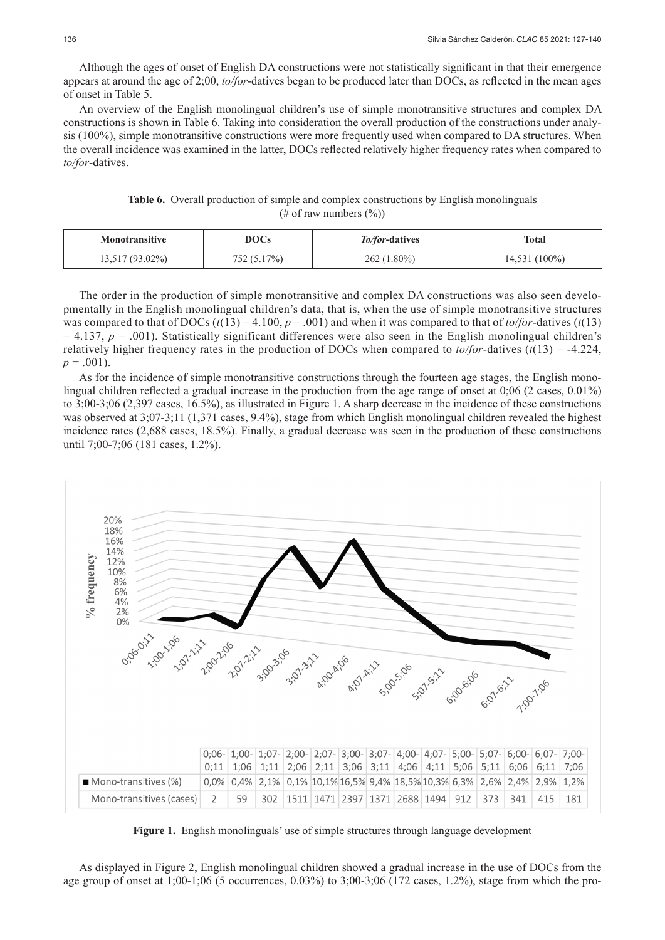Although the ages of onset of English DA constructions were not statistically significant in that their emergence appears at around the age of 2;00, *to/for*-datives began to be produced later than DOCs, as reflected in the mean ages of onset in Table 5.

An overview of the English monolingual children's use of simple monotransitive structures and complex DA constructions is shown in Table 6. Taking into consideration the overall production of the constructions under analysis (100%), simple monotransitive constructions were more frequently used when compared to DA structures. When the overall incidence was examined in the latter, DOCs reflected relatively higher frequency rates when compared to *to/for*-datives.

**Table 6.** Overall production of simple and complex constructions by English monolinguals (# of raw numbers  $(\%)$ )

| Monotransitive  | DOCs        | <i>To/for-datives</i> | Total           |
|-----------------|-------------|-----------------------|-----------------|
| 13,517 (93.02%) | 752 (5.17%) | $262(1.80\%)$         | $14,531(100\%)$ |

The order in the production of simple monotransitive and complex DA constructions was also seen developmentally in the English monolingual children's data, that is, when the use of simple monotransitive structures was compared to that of DOCs  $(t(13) = 4.100, p = .001)$  and when it was compared to that of *to/for*-datives  $(t(13)$  $= 4.137$ ,  $p = .001$ ). Statistically significant differences were also seen in the English monolingual children's relatively higher frequency rates in the production of DOCs when compared to  $\frac{to}{for}$ -datives ( $t(13) = -4.224$ ,  $p = .001$ ).

As for the incidence of simple monotransitive constructions through the fourteen age stages, the English monolingual children reflected a gradual increase in the production from the age range of onset at 0;06 (2 cases, 0.01%) to 3;00-3;06 (2,397 cases, 16.5%), as illustrated in Figure 1. A sharp decrease in the incidence of these constructions was observed at  $3:07-3:11$  (1,371 cases, 9.4%), stage from which English monolingual children revealed the highest incidence rates (2,688 cases, 18.5%). Finally, a gradual decrease was seen in the production of these constructions until 7;00-7;06 (181 cases, 1.2%).



**Figure 1.** English monolinguals' use of simple structures through language development

As displayed in Figure 2, English monolingual children showed a gradual increase in the use of DOCs from the age group of onset at 1;00-1;06 (5 occurrences, 0.03%) to 3;00-3;06 (172 cases, 1.2%), stage from which the pro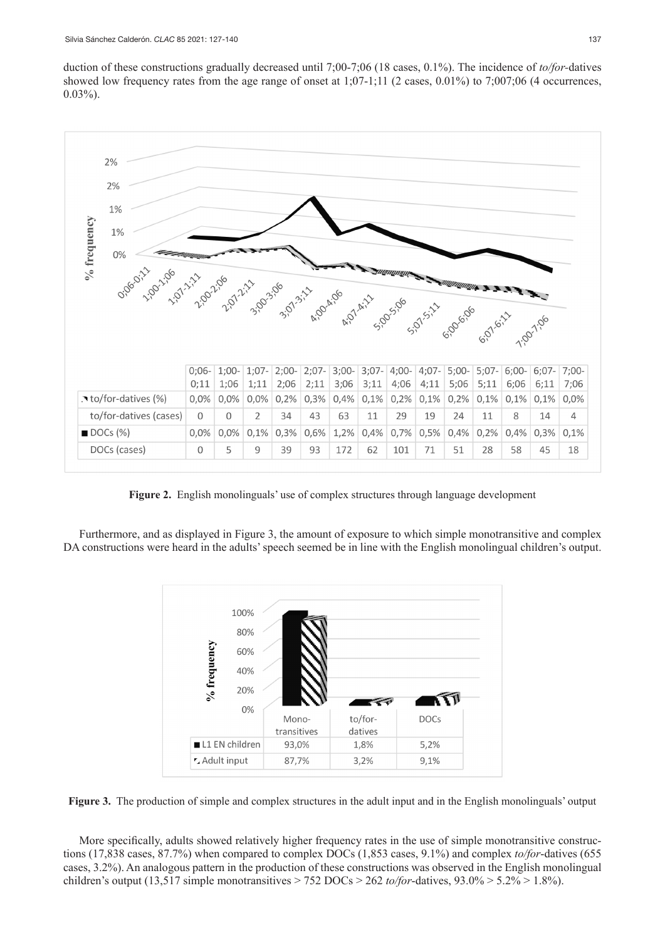duction of these constructions gradually decreased until 7;00-7;06 (18 cases, 0.1%). The incidence of *to/for-*datives showed low frequency rates from the age range of onset at  $1:07-1:11$  (2 cases, 0.01%) to 7:007:06 (4 occurrences,  $0.03\%$ ).



**Figure 2.** English monolinguals' use of complex structures through language development

Furthermore, and as displayed in Figure 3, the amount of exposure to which simple monotransitive and complex DA constructions were heard in the adults' speech seemed be in line with the English monolingual children's output.



**Figure 3.** The production of simple and complex structures in the adult input and in the English monolinguals' output

More specifically, adults showed relatively higher frequency rates in the use of simple monotransitive constructions (17,838 cases, 87.7%) when compared to complex DOCs (1,853 cases, 9.1%) and complex *to/for*-datives (655 cases, 3.2%). An analogous pattern in the production of these constructions was observed in the English monolingual children's output (13,517 simple monotransitives > 752 DOCs > 262 *to/for*-datives, 93.0% > 5.2% > 1.8%).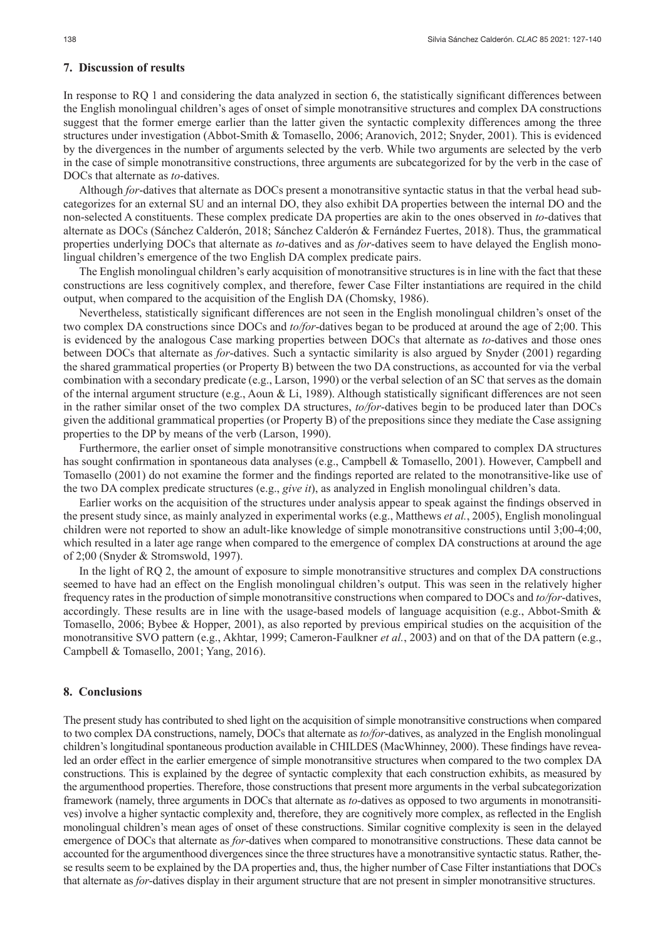# **7. Discussion of results**

In response to RQ 1 and considering the data analyzed in section 6, the statistically significant differences between the English monolingual children's ages of onset of simple monotransitive structures and complex DA constructions suggest that the former emerge earlier than the latter given the syntactic complexity differences among the three structures under investigation (Abbot-Smith & Tomasello, 2006; Aranovich, 2012; Snyder, 2001). This is evidenced by the divergences in the number of arguments selected by the verb. While two arguments are selected by the verb in the case of simple monotransitive constructions, three arguments are subcategorized for by the verb in the case of DOCs that alternate as *to*-datives.

Although *for*-datives that alternate as DOCs present a monotransitive syntactic status in that the verbal head subcategorizes for an external SU and an internal DO, they also exhibit DA properties between the internal DO and the non-selected A constituents. These complex predicate DA properties are akin to the ones observed in *to*-datives that alternate as DOCs (Sánchez Calderón, 2018; Sánchez Calderón & Fernández Fuertes, 2018). Thus, the grammatical properties underlying DOCs that alternate as *to*-datives and as *for*-datives seem to have delayed the English monolingual children's emergence of the two English DA complex predicate pairs.

The English monolingual children's early acquisition of monotransitive structures is in line with the fact that these constructions are less cognitively complex, and therefore, fewer Case Filter instantiations are required in the child output, when compared to the acquisition of the English DA (Chomsky, 1986).

Nevertheless, statistically significant differences are not seen in the English monolingual children's onset of the two complex DA constructions since DOCs and *to/for*-datives began to be produced at around the age of 2;00. This is evidenced by the analogous Case marking properties between DOCs that alternate as *to*-datives and those ones between DOCs that alternate as *for*-datives. Such a syntactic similarity is also argued by Snyder (2001) regarding the shared grammatical properties (or Property B) between the two DA constructions, as accounted for via the verbal combination with a secondary predicate (e.g., Larson, 1990) or the verbal selection of an SC that serves as the domain of the internal argument structure (e.g., Aoun & Li, 1989). Although statistically significant differences are not seen in the rather similar onset of the two complex DA structures, *to/for*-datives begin to be produced later than DOCs given the additional grammatical properties (or Property B) of the prepositions since they mediate the Case assigning properties to the DP by means of the verb (Larson, 1990).

Furthermore, the earlier onset of simple monotransitive constructions when compared to complex DA structures has sought confirmation in spontaneous data analyses (e.g., Campbell & Tomasello, 2001). However, Campbell and Tomasello (2001) do not examine the former and the findings reported are related to the monotransitive-like use of the two DA complex predicate structures (e.g., *give it*), as analyzed in English monolingual children's data.

Earlier works on the acquisition of the structures under analysis appear to speak against the findings observed in the present study since, as mainly analyzed in experimental works (e.g., Matthews *et al.*, 2005), English monolingual children were not reported to show an adult-like knowledge of simple monotransitive constructions until 3;00-4;00, which resulted in a later age range when compared to the emergence of complex DA constructions at around the age of 2;00 (Snyder & Stromswold, 1997).

In the light of RQ 2, the amount of exposure to simple monotransitive structures and complex DA constructions seemed to have had an effect on the English monolingual children's output. This was seen in the relatively higher frequency rates in the production of simple monotransitive constructions when compared to DOCs and *to/for*-datives, accordingly. These results are in line with the usage-based models of language acquisition (e.g., Abbot-Smith & Tomasello, 2006; Bybee & Hopper, 2001), as also reported by previous empirical studies on the acquisition of the monotransitive SVO pattern (e.g., Akhtar, 1999; Cameron-Faulkner *et al.*, 2003) and on that of the DA pattern (e.g., Campbell & Tomasello, 2001; Yang, 2016).

## **8. Conclusions**

The present study has contributed to shed light on the acquisition of simple monotransitive constructions when compared to two complex DA constructions, namely, DOCs that alternate as *to/for*-datives, as analyzed in the English monolingual children's longitudinal spontaneous production available in CHILDES (MacWhinney, 2000). These findings have revealed an order effect in the earlier emergence of simple monotransitive structures when compared to the two complex DA constructions. This is explained by the degree of syntactic complexity that each construction exhibits, as measured by the argumenthood properties. Therefore, those constructions that present more arguments in the verbal subcategorization framework (namely, three arguments in DOCs that alternate as *to*-datives as opposed to two arguments in monotransitives) involve a higher syntactic complexity and, therefore, they are cognitively more complex, as reflected in the English monolingual children's mean ages of onset of these constructions. Similar cognitive complexity is seen in the delayed emergence of DOCs that alternate as *for*-datives when compared to monotransitive constructions. These data cannot be accounted for the argumenthood divergences since the three structures have a monotransitive syntactic status. Rather, these results seem to be explained by the DA properties and, thus, the higher number of Case Filter instantiations that DOCs that alternate as *for*-datives display in their argument structure that are not present in simpler monotransitive structures.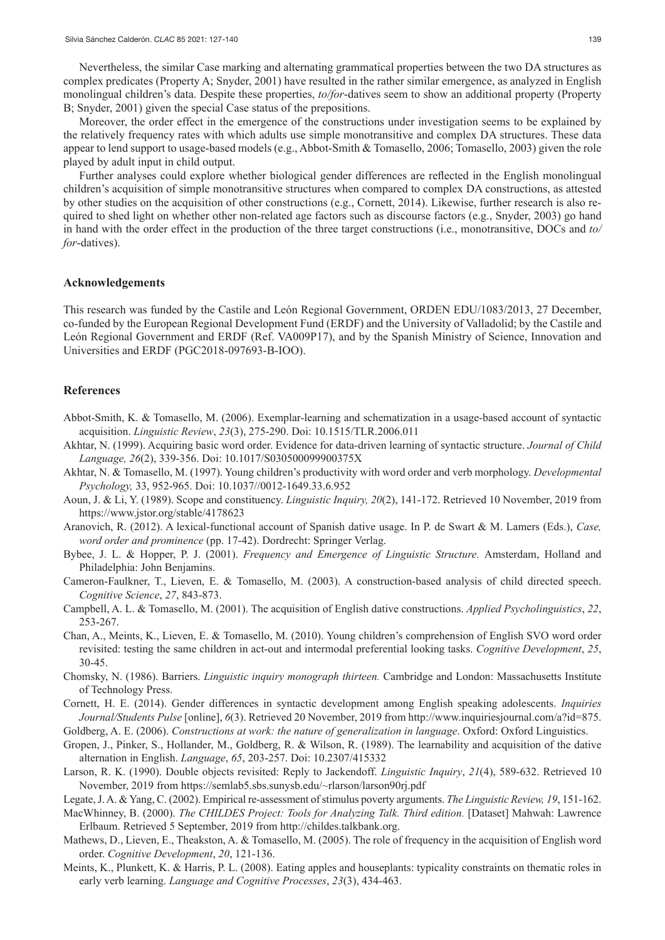Nevertheless, the similar Case marking and alternating grammatical properties between the two DA structures as complex predicates (Property A; Snyder, 2001) have resulted in the rather similar emergence, as analyzed in English monolingual children's data. Despite these properties, *to/for*-datives seem to show an additional property (Property B; Snyder, 2001) given the special Case status of the prepositions.

Moreover, the order effect in the emergence of the constructions under investigation seems to be explained by the relatively frequency rates with which adults use simple monotransitive and complex DA structures. These data appear to lend support to usage-based models (e.g., Abbot-Smith & Tomasello, 2006; Tomasello, 2003) given the role played by adult input in child output.

Further analyses could explore whether biological gender differences are reflected in the English monolingual children's acquisition of simple monotransitive structures when compared to complex DA constructions, as attested by other studies on the acquisition of other constructions (e.g., Cornett, 2014). Likewise, further research is also required to shed light on whether other non-related age factors such as discourse factors (e.g., Snyder, 2003) go hand in hand with the order effect in the production of the three target constructions (i.e., monotransitive, DOCs and *to/ for*-datives).

#### **Acknowledgements**

This research was funded by the Castile and León Regional Government, ORDEN EDU/1083/2013, 27 December, co-funded by the European Regional Development Fund (ERDF) and the University of Valladolid; by the Castile and León Regional Government and ERDF (Ref. VA009P17), and by the Spanish Ministry of Science, Innovation and Universities and ERDF (PGC2018-097693-B-IOO).

#### **References**

- Abbot-Smith, K. & Tomasello, M. (2006). Exemplar-learning and schematization in a usage-based account of syntactic acquisition. *Linguistic Review*, *23*(3), 275-290. Doi: 10.1515/TLR.2006.011
- Akhtar, N. (1999). Acquiring basic word order. Evidence for data-driven learning of syntactic structure. *Journal of Child Language, 26*(2), 339-356. Doi: 10.1017/S030500099900375X
- Akhtar, N. & Tomasello, M. (1997). Young children's productivity with word order and verb morphology. *Developmental Psychology,* 33, 952-965. Doi: 10.1037//0012-1649.33.6.952
- Aoun, J. & Li, Y. (1989). Scope and constituency. *Linguistic Inquiry, 20*(2), 141-172. Retrieved 10 November, 2019 from https://www.jstor.org/stable/4178623
- Aranovich, R. (2012). A lexical-functional account of Spanish dative usage. In P. de Swart & M. Lamers (Eds.), *Case, word order and prominence* (pp. 17-42). Dordrecht: Springer Verlag.
- Bybee, J. L. & Hopper, P. J. (2001). *Frequency and Emergence of Linguistic Structure.* Amsterdam, Holland and Philadelphia: John Benjamins.
- Cameron-Faulkner, T., Lieven, E. & Tomasello, M. (2003). A construction-based analysis of child directed speech. *Cognitive Science*, *27*, 843-873.
- Campbell, A. L. & Tomasello, M. (2001). The acquisition of English dative constructions. *Applied Psycholinguistics*, *22*, 253-267.
- Chan, A., Meints, K., Lieven, E. & Tomasello, M. (2010). Young children's comprehension of English SVO word order revisited: testing the same children in act-out and intermodal preferential looking tasks. *Cognitive Development*, *25*, 30-45.
- Chomsky, N. (1986). Barriers. *Linguistic inquiry monograph thirteen.* Cambridge and London: Massachusetts Institute of Technology Press.
- Cornett, H. E. (2014). Gender differences in syntactic development among English speaking adolescents. *Inquiries Journal/Students Pulse* [online], *6*(3). Retrieved 20 November, 2019 from http://www.inquiriesjournal.com/a?id=875.
- Goldberg, A. E. (2006). *Constructions at work: the nature of generalization in language*. Oxford: Oxford Linguistics.
- Gropen, J., Pinker, S., Hollander, M., Goldberg, R. & Wilson, R. (1989). The learnability and acquisition of the dative alternation in English. *Language*, *65*, 203-257. Doi: 10.2307/415332
- Larson, R. K. (1990). Double objects revisited: Reply to Jackendoff. *Linguistic Inquiry*, *21*(4), 589-632. Retrieved 10 November, 2019 from https://semlab5.sbs.sunysb.edu/~rlarson/larson90rj.pdf
- Legate, J. A. & Yang, C. (2002). Empirical re-assessment of stimulus poverty arguments. *The Linguistic Review, 19*, 151-162.
- MacWhinney, B. (2000). *The CHILDES Project: Tools for Analyzing Talk. Third edition.* [Dataset] Mahwah: Lawrence Erlbaum. Retrieved 5 September, 2019 from http://childes.talkbank.org.
- Mathews, D., Lieven, E., Theakston, A. & Tomasello, M. (2005). The role of frequency in the acquisition of English word order. *Cognitive Development*, *20*, 121-136.
- Meints, K., Plunkett, K. & Harris, P. L. (2008). Eating apples and houseplants: typicality constraints on thematic roles in early verb learning. *Language and Cognitive Processes*, *23*(3), 434-463.